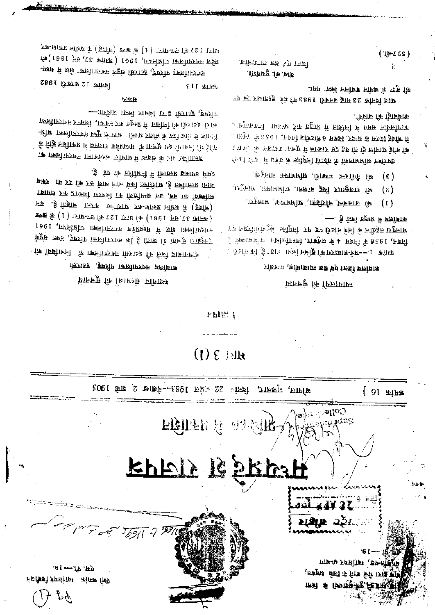$4.4$   $4.4$ पंजो मन्नोक व्यक्तियर विवीक्षते

шкай хвиды 'выецем <sub>र</sub> निर्माण मेले नाने ने लिये अनुसन् That of fremancy is fact

لاعتلفه **राञ्चक्त** ठ5ा

nagan S

हमा राजपत्र

್ರಗೋ $\mathbb{R}^n$ े प्रकाशित  $12.116$ 

वित्तां 22 इ.वेल 1983--वैज्ञाख 2, शके 1905 भाषाल, भुजवाद, क्सांक 16 ]

 $(1)$   $\epsilon$  tile

 $Fb10:1$ 

## किश्नांड कुष्टी किलीक्शन प्रत्येषाक स्थानीय सद्धाक्षा हो सुचनाये

 $^{\prime}$  )  $_{\sigma\sigma\prime}$ 

ुंदैन कि लिमिनों में शिक्तिप्र इक्राप्ट मिट्ट माम> 11 F कि F कि जिसके मिले ज़ानिराष्ट , कु क्रमोक्तार 1717 कामिल प्रकाल की, उन सम्पत्तियों का खिलाय कर समाया इण्ड के (1) ETB-FE कि रू रा ETB कि (1991 FB, रध कामक) नगरपालिका मेंछ में मध्यदेश नगरपालिका अधिनियम, 1961 क्रिप्रेस क्रिस्ट ,ज्ञकरीय स्कलीक्टिक की ई क्रिक कि स्मरूप स्थिद् हो कि फिल्मी कि कि कि किसी करान के लिए जाना कि

- गाकी हवारसी हात निवार किसा जानेगा कालीएराम रस्काली तामका रक प्रहुर में उछीली कि छिराइड (जिक ीएक से स्टीक किसीएप्राप्त के सीतर प्राप्ती । अपार्टी मुख्य नगरपालिका वाधि-के निष्ठि ताधीक्रि में हामलार एईशाओ में अकाशित हैं। के क क्लिमिट्राफ कार्कटक जीगर में क्रिक्र के टक हानीहरू

## 7948

प्रदेश समरवासिका अधिनियम, 1961 (अमेक 37, सम् 1961)की -छाम में छाथे । काली। एकम विष्टूम क्रियडक , इण्ट्रीय काली। एकम श्विमि 12 फारबरी 1983 **SIL WHEN** 

ध्याया 127की सपन्धारा (1)को खण्ड (चीनेह) के अधीन प्रकाश-कर

## मानस्तर कि फिलामान्न

## प्रोप्तका , एवित्रधाम इप्त कंप्र । एवं बालीयात्र

—: 'हे फेंको ह<del>ाउ</del>़्फ़ मैं <mark>सजीवा</mark>क भागद्युरा तहसील के लिहिमी प्रस का किर्डा के लिखित प्राट्टाना निवन, 1956 के नियम 4 के अनुसार, निर्मनेत्रिकि न मध्यों में दि ाउँ रक्ति को ड्रै कोफ़ सम्बन्ध**रण को हुनित**ा सम्राट को मोटरो

- भा <u>वाबन्द बाराइन्</u>री' धांननालक्ष मार्गनुरा'  $(1)$
- भी राजकुतार खिंदू बाक्या, अभिभाषक, भासपुरा,  $(z)$
- श्री नेमीचन्द भण्डारी, श्रीभगषतः भागपुरत्  $(\epsilon)$

पोफीक कि हिार्काक ्राप्तुमाभक्ती पारस्क ट्रॅक <del>bgaz</del> में क्रष्टीजि में प्रमप्त नक्षिज्ञीयाक से चौदह दिवस के अन्दर, सिक्षम 6 मोटरीज नियम, 1956 के अनुसा ां में और अपास करने में हमलार में हुआ कि कि मिलिस हैं कि कि पीटोक्स अधियावकों **के नोटरी जिट्टीक** के संबंध में 'लगिर हिन्<mark>ट</mark>िएट

की मुद्रा के ब्रधीन जवलित किया गया. बाज विनीक 22 मा**ह जनवरी 1983 की मेरे हस्ताक्षर एक** 

जिला एवं सत्र न्याभाक्षेत्रा. बात वा वैनवध)

 $(4524)$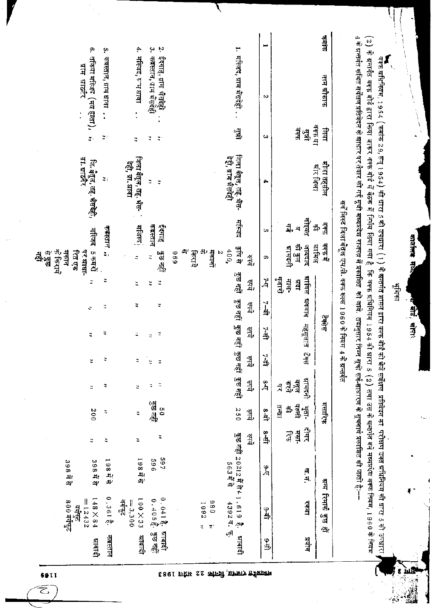| 4 के ग्रन्गत कथित सर्देक्षण प्रतिवेदन के शाधार पर तैयार की गहे से पत्रा पर प्राप्ता की जावे. तबानुसार सर्वे सबनाय प्रकाशित की जाती है⊹– |                                    |                                               |                 | सर्वे लिस्ट विला बेतूल एम.पी. वक्फ रूल्स 1960 के नियम ४ के श्रन्तर्गत       |                                                   |       |                                                             |                 |                                  |                                   |                  |                                                       |                                                           |          |
|-----------------------------------------------------------------------------------------------------------------------------------------|------------------------------------|-----------------------------------------------|-----------------|-----------------------------------------------------------------------------|---------------------------------------------------|-------|-------------------------------------------------------------|-----------------|----------------------------------|-----------------------------------|------------------|-------------------------------------------------------|-----------------------------------------------------------|----------|
| सांग<br>त्तम ब्रौकाफ                                                                                                                    | ज्ञान                              | मौजा तहसील<br>म्रोर जिला                      | त्रकृष<br>争     | वंदफ में                                                                    |                                                   |       | प्रसंग                                                      |                 |                                  | मसारिफ                            |                  |                                                       | <b>घन्य रिमार्क कुछ हों</b>                               |          |
|                                                                                                                                         | 17 4 4 4<br>वैक्क<br>$\frac{4}{3}$ |                                               | नोइयत<br>힄<br>의 | को कुल<br>जन्<br>ग्रामित<br>সাফ্যান<br>भागदती                               | ज्ञावित<br>्<br>पुत्रारों<br>मान<br>$\frac{1}{2}$ | भववाद | महसूलात टेक्स                                               | j               | झामदत्ती<br>बर्दा<br>बुद्धा<br>Å | वेल्ली<br>न का<br>뽜<br>្រុំ<br>ព្ | नै<br>Hel-<br>यु | ख. न.                                                 | रकबा                                                      | प्रयोग   |
| ے<br>N                                                                                                                                  | $\omega$                           | 4                                             | Q)              | G)                                                                          | 뇟                                                 | तैनो  | 当                                                           | رد<br>مط        | Ã                                | 1क 8                              | 。<br>马           | ن<br>ام                                               | नि<br>चि                                                  | مين      |
| Ⅰ. मस्जिद, ग्राम भैसदेही                                                                                                                | 骂                                  | जिला बैतूल, तह, भैंस-<br>देही, ग्राम भैंसदेही | में दिवह        | कैपि से<br>400,<br>$\boldsymbol{\mathcal{S}}$<br>डी,                        | 줰,                                                | 췈,    | कुछ नहीं   कुछ नहीं   कुछ नहीं   कुछ नहीं   कुछ नहीं<br>ड़ी | 쉌,              | द्मे                             | 250<br>द्मी                       | 쉌,               | कुछ नहीं 20212 में से≁ 1 . 619  है.<br><b>563 # 8</b> | 4392年, 4                                                  | भाबादी   |
|                                                                                                                                         |                                    |                                               |                 | 위›<br>4<br>मकानो<br>क्रिय<br>696                                            |                                                   |       |                                                             |                 |                                  |                                   |                  |                                                       | 086<br>1092<br>ž<br>ă,                                    |          |
| Ņ<br>په<br>د<br>कब्रस्तान, प्राप्त भन्देही<br>ईदगाह, ग्राम भैसदेही<br>$\bullet$                                                         | ţ,<br>ă                            | ă<br>Ξ                                        | कबस्तान<br>ईसगह | ट्टिक नहीं<br>ž                                                             | ŭ<br>Ξ                                            | E,    | ă<br>ž                                                      | ч<br>$\ddot{ }$ | $\ddot{ }$<br>¢,                 | कुछ नहीं<br>99                    | Ξ                | 797<br>969                                            | 0.041 है. श्राबादी<br>0.405 है. कुछ नहीं                  | कुछ नहीं |
| 4. मस्जिद,राम धावा<br>$\ddot{\cdot}$                                                                                                    | ÷,                                 | जिला बैतूल, तह, भैंस<br>देशी, प्रा. धावा      | मोजस्त्         | ă                                                                           | ς                                                 | Ξ     | ċ                                                           |                 | z                                | Ξ                                 | č                | 1984 #                                                | $100 \times 33$<br>$= 3,300$<br>ange                      | भाबादी   |
| ç,<br>कबस्तान, ग्राम धावा<br>$\ddot{\cdot}$                                                                                             | æ,                                 | ă.                                            | कड़स्तान ,      |                                                                             | Ξ                                                 | ÷,    | Ξ                                                           |                 | Ξ                                | Ξ                                 | φ                | 1985年                                                 | $0.361\frac{3}{6}$ .                                      | कबस्तान  |
| စ္<br>तक्षिपा मस्जिद (मय हाता), स<br>ग्राम घाठनैर                                                                                       |                                    | जि. बेतूल, तह. भेंसदेही,<br>ग्रा. झाठनेर      |                 | मस्जिद 5 कमरो<br>先用的<br>में में<br>पर ब्राघा-<br><u>다음</u><br>역에<br>रिंह एक |                                                   | ÷     | ă                                                           | ÷,              | ă,                               | 200                               | Ξ                | 398 표 <sup>주</sup><br>398年                            | 148×84<br>$=12432$<br>008 مطابقت<br>बर्मे कुट<br>बर्म कुट | भ्राबादी |
|                                                                                                                                         |                                    |                                               |                 |                                                                             |                                                   |       |                                                             |                 |                                  |                                   |                  |                                                       |                                                           |          |

(2) के ब्रत्तांत बक्फ बौर्ड द्वारा किंग जाकर वक्क बैठक में निर्णय किया गए। है कि वक्क ब्राह्म में धारा उस के ब्राह्म बक्क बक्क बक्क बक्क बक्क बियम, 1960 के नियम ।<br>वक्त्र प्रधिनियम, 1954 (क्सांक 29,सन् 1954) की धारा 5की उपधारा (1) के अलागेत शासन बौड़े को भेजे सर्वेदन का परीक्षण उन्से आया 5की उपधारा<br>वक्त्र प्रधिनियम, 1954 (क्सांक 29,सन् 1954) की धारा 5की उपधारा (1) के अलागेत बनक क

काअलिव मध्य

दीई, सोपार

भांमान

Ĺ

द861 एफि ६९ सोन्डी क्रानात्र त्रक्रीसायस

69 I I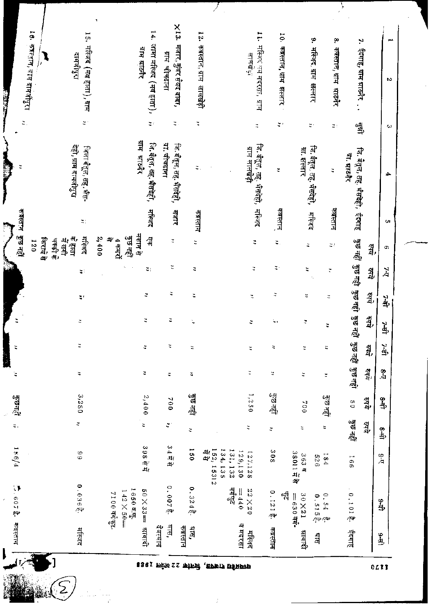| 14. जामा मल्जिद (मय हाता),<br>18. कॅक्स्त्रान, व्रांस दोमजीयुरा<br>12. कब्रस्तान, ग्राम लालखेड़ी<br>15. मस्जिद (मय हाता), ग्राम<br>मजार, कुंवर सैयद वाबा,<br>$\overline{z}$ :<br>$\widetilde{\mathcal{Z}}^{\pm}$<br>$\sharp$ .<br>ă<br>ग्राम भाऊौर<br>लि. बैतूल, तह, भैंसदेही,<br>ग्ना चीचढाना<br>जि.बँतूल, तह. भैंसदेही,<br>देही, ग्राम दामजीपुरा<br>जिला बैतूल, तह्, भैंस-<br>गाम लालखड़ी |
|---------------------------------------------------------------------------------------------------------------------------------------------------------------------------------------------------------------------------------------------------------------------------------------------------------------------------------------------------------------------------------------------|
|                                                                                                                                                                                                                                                                                                                                                                                             |
|                                                                                                                                                                                                                                                                                                                                                                                             |
|                                                                                                                                                                                                                                                                                                                                                                                             |
|                                                                                                                                                                                                                                                                                                                                                                                             |
|                                                                                                                                                                                                                                                                                                                                                                                             |
|                                                                                                                                                                                                                                                                                                                                                                                             |
|                                                                                                                                                                                                                                                                                                                                                                                             |
|                                                                                                                                                                                                                                                                                                                                                                                             |
|                                                                                                                                                                                                                                                                                                                                                                                             |
|                                                                                                                                                                                                                                                                                                                                                                                             |
|                                                                                                                                                                                                                                                                                                                                                                                             |
| मस्जिद जय सदरसा, याम<br>ă<br>जि. बैतूल, तह. भैंसदेही, मस्जिद                                                                                                                                                                                                                                                                                                                                |
| 10. कब्रस्तान, ग्राम झल्लार<br>$\overline{\mathbb{Q}}$ )                                                                                                                                                                                                                                                                                                                                    |
|                                                                                                                                                                                                                                                                                                                                                                                             |
| मस्जिद, ग्राम झल्लार<br>Ę,<br>जि. बैतूल, तह, भैसदेही,<br>ग्रा. झल्लार                                                                                                                                                                                                                                                                                                                       |
| कब्रस्तान, ग्राम आठनैर<br>$\mathbb{Z}$ :                                                                                                                                                                                                                                                                                                                                                    |
| जि. बैतूल, तह. भैंसदेही, ईदगाह<br>या. माठनैर                                                                                                                                                                                                                                                                                                                                                |
| ईदगाह, ग्राम ग्राठनैर <b>्</b> .<br>學                                                                                                                                                                                                                                                                                                                                                       |
| ω                                                                                                                                                                                                                                                                                                                                                                                           |

PJ.

 $\mathcal{P}$ 

 $\begin{array}{c} \mathcal{L}_{\mathcal{A}}(\mathcal{A}) \\ \mathcal{L}_{\mathcal{A}}(\mathcal{A}) \end{array}$ 

 $\mathcal{T}$ 

बहरा छोटा बाग्ने, सिनोब २३ अप्रैल १९६३

 $\vec{r}$ 

 $0L11$ 

y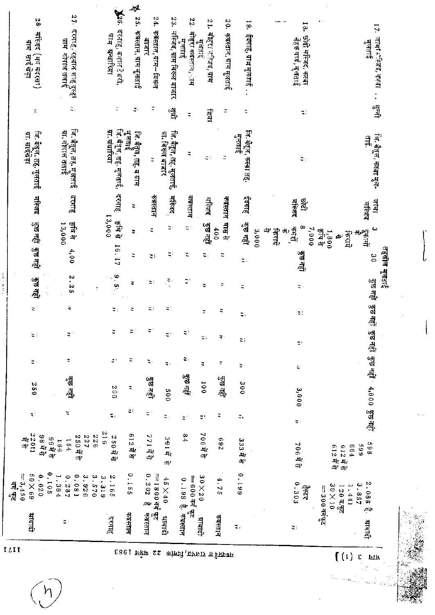| $\iota$ i t                           |                            | ्दी<br>पौ                                          |                       |                |                                  |                |                                                     |                           |                      |                                |                                 |                       |                                             |                      |                                                                    |  |
|---------------------------------------|----------------------------|----------------------------------------------------|-----------------------|----------------|----------------------------------|----------------|-----------------------------------------------------|---------------------------|----------------------|--------------------------------|---------------------------------|-----------------------|---------------------------------------------|----------------------|--------------------------------------------------------------------|--|
|                                       | भाषादी                     | $= 3,450$<br>69X0S                                 | $44.5$<br>11025       | $\mathbf{z}$ : | 0.55                             | ς.             | $\Xi$ :                                             | $\overline{\mathbf{u}}$ : | ক্টিভ বন্ধী          |                                | তুত নহাঁ ভুভ নহাঁ               |                       | ग्रा. साइंखड़ा                              | t                    | 틯<br>साइ खेड़ा                                                     |  |
|                                       |                            | 0.105<br>0.020                                     | 58年5                  |                |                                  |                |                                                     |                           |                      |                                |                                 | मेरिजद                | जि. बेतूल, तह. मुलताई                       |                      | 38<br>मस्जिद (मय मदरसा)                                            |  |
|                                       |                            | 1.384                                              | 69节<br>166            |                |                                  |                |                                                     |                           |                      |                                | 13,000                          |                       |                                             |                      |                                                                    |  |
|                                       | $\Xi$ :                    | 0.081<br>0.287                                     | 154                   | ž,             | कुल नहीं                         | ă,             | $\mathbb{C}^3$                                      | ă,                        | 2.25                 | 4,00                           | क्ष से                          | दरगाह                 | जि. बैतूल, तह. मुलताई<br>ग्रा. गोपाल तलाई   | ž,                   | 27. दरगाहै, रहमान शाह दुल्हा<br>याम गोपाल तलाई                     |  |
|                                       |                            | 3.926<br>$\ddot{\cdot}$<br>015                     | 933<br>250 푸 하<br>727 |                |                                  |                |                                                     |                           |                      |                                |                                 |                       |                                             |                      |                                                                    |  |
|                                       |                            | 3.319                                              | 917                   |                |                                  |                |                                                     |                           | ÷                    |                                |                                 |                       |                                             |                      |                                                                    |  |
|                                       | ्रगाह                      | N,<br>591                                          | 250 F 급               | z,             | 007                              | $\mathbb{Z}^3$ | č,                                                  | $\boldsymbol{z}$ :        | 6.5                  | 16.17                          | 13,000<br>र्ने सोक्             | दरगाह                 | जि. बैंतूल, तह. मुलताई,<br>ग्न. ग्रंधारिया  | Ξ                    | $\mathbf{X}^{\text{g.}}$<br>दरगाह, कमाल टेक्की,<br>ग्राम सन्धारिया |  |
| $22 \frac{\text{up}}{\text{up}}$      | कबस्तान                    | 3910                                               | 612年19                | $\sharp$ !     | ÷                                | ă,             | ¥)                                                  | Φ                         | ă,                   | ă                              | π                               | ٩                     | में जान<br>जन्म<br>लि. बँतूल, तह, ब ग्राम   | ž,                   | 4<br>š.<br>कबस्तान, ग्राम मुलताई                                   |  |
|                                       | कबस्तान                    | 0.202<br>$=1800$ git ge<br>$\sim$                  | 77135                 | $\Xi$ .        | हैं⊽ वहीं                        | ψ.             |                                                     | Ξ,                        | ≊₹                   | z,                             | ă                               | कक्सान                | ä,                                          | Ĭ,                   | 24.<br>कबस्तान, ग्राम– विरूल<br>वाजार                              |  |
|                                       | भाषादी                     | $0\,\mathrm{t}\!\times\!5\,\mathrm{t}$             | 391 #<br>4            | $\sharp$ .     | 000                              | Ę.             | $\ddot{\mathbb{I}}$                                 | 41                        | $\frac{\sqrt{2}}{2}$ | Ę,                             | $\mathbb{S}^1$                  | मस्जिद                | जि. बैतूल, तह. मुलताई,<br>ग्रा. विख्ल बाजार | 倒                    | 23.<br>मस्जिद, ग्राम बिरूल बाजार                                   |  |
|                                       |                            | $=600$ and $\frac{1}{32}$<br>0.198 है. कब्रस्तान   | 94                    | ă,             | দ্বিদ বস্তু                      | ž,             | $\mathbb{C}^3$                                      |                           | $\zeta$              | ς                              | $\sharp$ :                      | कबस्तान               | ς                                           | $\ddot{\phantom{0}}$ | 22.<br>बोहरा कबस्तान, ाम<br>मुल्ताद्<br>मुल्ताद्                   |  |
|                                       | भाषादी                     | $90\times20$                                       | 70675                 | ät,            | 1000                             | ₹              | ă,                                                  | ă,                        | ă                    | Ξ.                             | कुछ नहीं                        | 基本                    | ς                                           | 雪                    | 17<br>बोहरा मन्जिद, ग्राम<br>मुलताइ                                |  |
| कांन्ज्ने , क्राफार एडेहावम           | कबस्तान                    | 4.75                                               | 769                   | ž              | कुरु रही                         | ×              | $\frac{\partial \mathbf{y}}{\partial \mathbf{y}}$ . | ž,                        | ¢                    | Φ                              | मास से<br>400                   | कबस्तान               | ă                                           | ă                    | 20.<br>कब्रस्तान, ग्राम मुलताई                                     |  |
|                                       | $\overline{\phantom{a}}$ . | 661'0                                              | 333 में से            | ÷,             | 000                              | ă,             | $\Xi$ ;                                             | $\Xi$                     | ž                    | π.                             | कुछ नहीं                        | ड़ेंगाह               | जि. बैतूल, कस्बा तह.<br>मुलताई              | t,                   | $\overline{5}$<br>ईदगाह, ग्राम मुलताई.                             |  |
|                                       |                            |                                                    |                       |                |                                  |                |                                                     |                           |                      |                                | æ<br>3,000<br>क्रिएव            |                       |                                             |                      |                                                                    |  |
|                                       | $\mathbb{Z}^+$             | 0.303<br>्रिकेट<br>ज                               | 706 <b>국</b> 현        | æ.             | 3,000                            | 2              | $\mathfrak{m}^+$                                    | ś,                        | ς.                   | ট্ৰা অন্ধ                      | œ<br>्म्<br>भाष<br>7,000<br>÷J) | ष्ट्री<br>ट्रि<br>井宜属 | ăţ                                          | $\Xi$ :              | 18.<br>छोदी मस्जिद, क्स्बा<br>नेहरू वार्ड, मुलताई                  |  |
| (1)                                   |                            | $30\times10$<br>120平等<br>$=$ 300 an $\frac{d}{dx}$ | 612年5日<br>612年5       |                |                                  |                |                                                     |                           |                      |                                | क्षि से<br>1,800<br>$\omega$    |                       |                                             |                      |                                                                    |  |
| $\boldsymbol{\epsilon}$<br><b>TFT</b> | भाषादी                     | 2.088<br>3.857<br>1.441<br>ņф                      | 869<br>669<br>564     |                | कुछ नहीं कुछ नहीं 4,800 कुछ नहीं |                |                                                     |                           | कुछ नहीं  कुछ नहीं   | तहसील मुलताई<br>$\frac{30}{2}$ | نئ<br>유학<br>토니트<br>사트<br>क्ति   | जान<br>मस्जिद         | जि. बैतूल, कस्बा मुल-<br>$\frac{21}{20}$    | ्तुः<br>जी           | 17.<br>जामा रास्तद, कस्वा<br>मुलताइं                               |  |

 $\mathbf{r}$ 

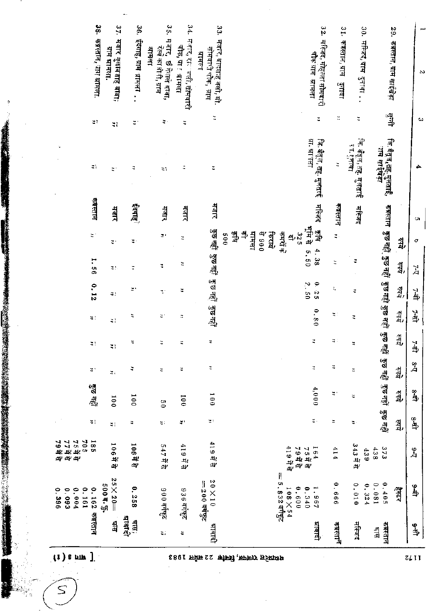|                     |                            |                             | 37.                                     | 36,              | $\frac{6}{3}$<br>मजन्                          | 34.                                           |                                                                   |                                                                                                |                                                 |                               |                                             |                                                                                     | ×              |
|---------------------|----------------------------|-----------------------------|-----------------------------------------|------------------|------------------------------------------------|-----------------------------------------------|-------------------------------------------------------------------|------------------------------------------------------------------------------------------------|-------------------------------------------------|-------------------------------|---------------------------------------------|-------------------------------------------------------------------------------------|----------------|
|                     |                            | 38. कब्रस्तान, गाग भ्रामला. | मजार गुलाबताह बाबा;<br>ग्राम ब्रामहत्त. | ईदगाह, गाम भामला | रेल्वे काओगी, ग्राम<br>计书刊<br>र्छ नेताले बाबा, | मजार, रा≍`जली, सोमवारी<br>चौक, ग्रा ! प्रामला | 33. मजार, बाल्शाह वली, मो<br>सोमवारी चौक, ग्राप्त<br><b>Alaka</b> |                                                                                                | 32. मस्जिद, मेहल्ला नौमकारी<br>चौंक ग्राम अमिला | 31. कब्रस्तान, ग्राम - दुनावा | 30. मस्जिद,याम हुनावा                       | 29. कबस्तान, ग्राम साईखेडा                                                          | ٨              |
|                     |                            | $\mathbb{R}^3$              | ×,                                      | ă,               | $\Xi$ :                                        | Ę                                             | Ĭ.                                                                |                                                                                                | ă                                               | H                             | ă                                           | ्मी<br>पौ                                                                           | t.             |
|                     |                            | $\mathbb{Z}^n$              | ă,                                      | ă                | ă,                                             | ă,                                            | Ξ                                                                 |                                                                                                | ग्रा. भा गता<br>जि. बैतूल, तह- मुलताई           | ă                             | जि. बैंतुल,तेह. मुलताई<br>स्तार्हुज़ाक<br>स | जि. वैतूज,तह.मुलताई,<br>ॅाम साईखड़ा                                                 |                |
|                     |                            | क्षस्तान                    | मजार                                    | इंदगाह।          | मजार                                           | मजार                                          | पार                                                               |                                                                                                | मस्तिद                                          | कस्तान                        | मस्जिद                                      |                                                                                     | ា              |
|                     |                            | $\sharp$                    | $\overline{\mathbf{u}}$ :               | ÷,               | $\mathbb{R}^3$                                 | ă                                             |                                                                   | 쾍<br><b>TRAFTE</b><br>किरामे<br>कमर्सके<br><u>ماره</u><br>006 4<br>325<br>0.05<br>$\mathbf{a}$ | 基本<br>्<br>क्र                                  | $\ddot{z}$                    |                                             | ™त्रस्तान कुछनहीं कुछनहीं कुछनहीं कुछ नहीं कुछनहीं कुछ नहीं कुछ नहीं कुछ नहीं<br>यु | $\sigma$       |
|                     |                            | 1.56                        | $\Xi$ .                                 | ă                | ă,                                             | Ĭ,                                            | हुछ नहीं हुछ नहीं हुछ नहीं हुछ नहीं                               |                                                                                                | 4.38<br>5.50                                    | E                             | ë                                           | वै                                                                                  | Ă              |
|                     |                            | 0.12                        | $\mathcal{Z}$ :                         | z,               | ÷.                                             | Ξ                                             |                                                                   |                                                                                                | 6.25<br>2.50                                    | t,                            | ¢                                           | 칇,                                                                                  | त्रैं          |
|                     |                            | $\lesssim$ )                | $\lesssim 1$                            | Ξ                | ă,                                             | $\overline{\mathbb{Q}}$                       |                                                                   |                                                                                                | 0.80                                            | ăí,                           | Φ                                           | ये)                                                                                 | ने             |
|                     |                            | ă)                          | ă)                                      | 4                | ă                                              | Ξ                                             | ă                                                                 |                                                                                                | ă                                               | $\sharp$ :                    | ¥,                                          | हमृत्                                                                               | <u>լջ. /</u>   |
|                     |                            | ă,                          | $\sharp$                                | φ                | Ξ                                              | ч                                             | ă,                                                                |                                                                                                | ч                                               | ă                             | ч                                           | इफ़                                                                                 | λş             |
|                     |                            | कुछ नहीं                    | 001                                     | 100              | $\frac{6}{2}$                                  | 001                                           | 001                                                               |                                                                                                | 4,000                                           | ÷,                            | ă                                           | यें<br>यू                                                                           | ै<br>कै        |
| $\hat{\mathcal{E}}$ |                            | щ                           | 41                                      | ч                | ς.                                             | ÷,                                            | ă,                                                                |                                                                                                | $\zeta$ .                                       | Ξ                             | ς.                                          | हेम्ब                                                                               | $\frac{10}{2}$ |
|                     | 705<br>755#<br>777#<br>79# | 581                         | 106节引                                   | 106节守            | 547 में से                                     | 419 में से                                    | 419부                                                              | 41975<br>부분 5 <i>년</i><br>7 5 में से                                                           | 164                                             | 414                           | 343节<br>439                                 | 373<br>438                                                                          | ٩,             |
| 0.396               | 0.161<br>0.004<br>0.093    | 0.162                       | $25 \times 20 =$<br>500 \$. \$.         | 0.258            | 006 عليلاتة                                    | 936 वर्गपुट                                   | $0$ I $\times$ 0 Z<br>$=$ 200 طَأَبَهِـ                           | $=$ 5.832 वर्गफुट<br>0.6000<br>$108 \times 54$                                                 | 1.967<br>0.340                                  | 0.666                         | 0.010<br>0.324                              | 0.081<br>0.405<br>ीदी                                                               | لا<br>په       |
|                     |                            | कबस्तान                     | चुन                                     | प्राबादी<br>वास) | ă,                                             | ÷                                             | भावादी                                                            |                                                                                                | माबादी                                          | कब्रस्ताने                    | मस्जिद                                      | कबस्तान<br>$\frac{1}{2}$                                                            | مِطِ           |

 $\boxed{(1)$  s mw ]

 $S$ 

 $\ddot{\phantom{0}}$ 

、「大学のこの中に、「大学のこのことで、「国内の国内のことを実現する」」ということには、このことには、このことには、このことには、このことには、このことには、このことには、このことには、このことには、このことには、このことには、このことには、このことには、このことには、このことには、このことには、このことには、このことには、このことには、このことには、このことには、このことには、このことには、このことには、このことには、このことには、こ

सध्यप्रदेश राजपत, सिनीक 22 अर्घत्य 1983

 $\overline{z}$ ll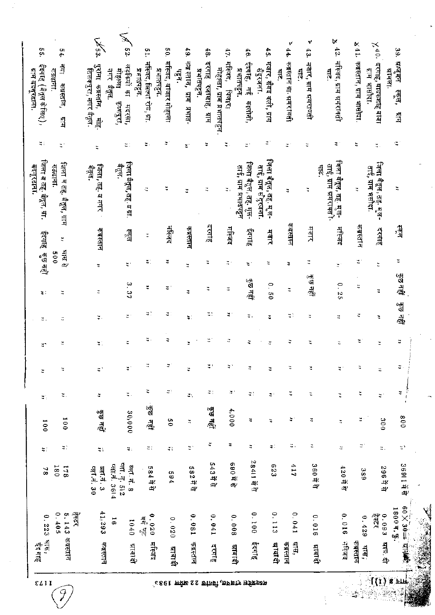$\mathcal{I}$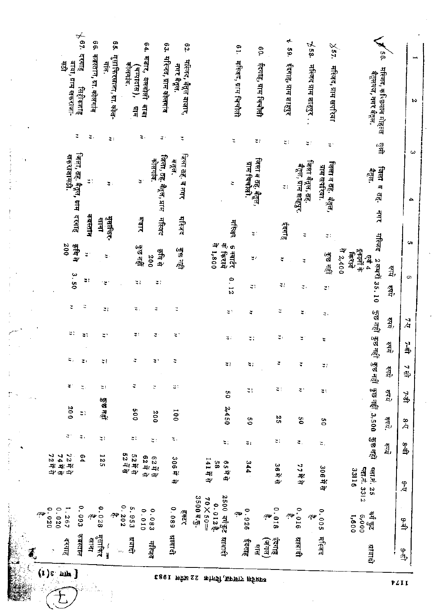|           |                               |    |              |       |                            | $\mathfrak{g}_7$<br>दरगाह    | e G                            |                              | $\frac{9}{2}$               |                             | 64. HETT,                  | 63.                                | e2.                                |                                                   |                                              | 61.                    |                                      | eo.                                    | ≁<br>ç,             | 558.                                    | $\times$ 37.                                |                                                     | ्                                               | οğ,                | ۳             |
|-----------|-------------------------------|----|--------------|-------|----------------------------|------------------------------|--------------------------------|------------------------------|-----------------------------|-----------------------------|----------------------------|------------------------------------|------------------------------------|---------------------------------------------------|----------------------------------------------|------------------------|--------------------------------------|----------------------------------------|---------------------|-----------------------------------------|---------------------------------------------|-----------------------------------------------------|-------------------------------------------------|--------------------|---------------|
|           |                               |    |              |       | बांबा, ग्राम खेकराजा-<br>4 | सिंहीकशाह<br>$\ddot{z}$      | कब्रस्तान, ग्रा. कोलगांव<br>э. | गाव.                         | मुसाफिरखाना, ग्रा. कोल-     | कोलगाव.<br>(चम्पादास),<br>빀 | बेलबोली<br>पैबो<br>π.      | मस्जिद, ग्राम कोलगांव              | मस्जिद, बैतूल बाजार,<br>नगर बैतूल. |                                                   |                                              | मस्जिद, ग्राम चित्रोली | ईदगाह, ग्राम चिचौत्ती                |                                        | ईदगाह, ग्राम शाहपुर | मस्जिद ग्राम शाहपुर                     | मस्जिद, ग्राम खर्पा रया                     |                                                     | मस्जिद, कस्छियान मोहुल्ल<br>बैतूलगज, नगर बैतूल. |                    | r             |
|           |                               |    |              |       |                            |                              |                                |                              | $\mathbf{z}$ :              |                             |                            | ¥,                                 | Ĭ,                                 |                                                   |                                              | ž                      | $\mathbb{C}$ )                       |                                        | $\mathbb{S}^3$      | ž.                                      | ž,                                          |                                                     | 母                                               |                    | ω             |
|           |                               |    |              |       | खकराजामठी.                 | जिला, तह, वैतूल, ग्राम दरगाह | ă)                             |                              | $\overline{\mathfrak{p}}$ : |                             | $\mathbf{S}^{\mathcal{I}}$ | जिला, तह. बैतूल, प्राम<br>कोलगांद. | जिला तह. व नगर<br>बत्तूल.          |                                                   |                                              | Ξ                      | जिला व तह, वैतूल,<br>ग्राम चिवौत्ती. |                                        | $\mathfrak{r}_1$    | जिला बैतूल, तह.<br>बैतूल, ग्राम शाहपुर. | जिला व त <u>ह</u> . बैतूल,<br>ग्राम खपरिया. |                                                     | जिलाव ह<br>बैत्तुल.                             |                    | 4             |
|           |                               |    |              |       |                            |                              | कबस्तान                        | बाना                         | मुसाफिर-                    |                             | गजार                       | मेरिकाद                            | मस्तिद                             |                                                   |                                              | मस्त्रि                | $\mathfrak{r}$                       |                                        | हेरगाह              | Ξ                                       | ă)                                          |                                                     | 山                                               |                    |               |
|           |                               |    |              |       | 200                        | में घोड़                     | $\mathcal{Z}$                  | $\zeta$ .                    |                             |                             | कुन राही                   | ही है।<br>200                      | के वह                              |                                                   | 6 क्वार्टर<br>के किराये<br>008'1 4<br>किरामे |                        | ¥,                                   |                                        | ₹                   | ă,                                      | ोड़ा खड़ी                                   | $\frac{1}{3}$ 2,400<br>एवं 4<br>इकानों के<br>किराने | मस्जिद                                          | â,                 | o,            |
|           |                               |    |              |       | 3.50                       |                              | a)                             | ٠ë                           |                             |                             | $\mathbb{C}^3$             | $\boldsymbol{z}$ :                 |                                    |                                                   |                                              | 0.12                   | $\zeta$ :                            |                                        | $\zeta)$            | ς.                                      | ž)                                          |                                                     | 2 कमरों 35.10                                   | â,                 | စ             |
|           |                               |    |              |       | z                          | Ξ                            |                                | $\mathcal{I}$ :              |                             | τ,                          |                            | ă,                                 | Ľ,                                 |                                                   | Ξì                                           |                        | ÷,                                   |                                        | $\ddot{z}$          | ă,                                      | ς,                                          |                                                     |                                                 | 줰,                 | $\frac{2}{4}$ |
|           |                               |    |              |       | 석)                         | Ч,                           |                                | ă,                           |                             | ă.                          |                            | ă.                                 | ٤,                                 |                                                   | ăí,                                          |                        | ς,                                   |                                        | ă,                  | ă,                                      | Ξ                                           |                                                     | দ্ভুল লৱী দ্ভুত নৱী                             | हेष्ट्र            | र्नु          |
|           |                               |    |              |       | Ξ,                         | $\mathbb{Z}$                 |                                | t,                           |                             | ž,                          |                            | $\sharp$                           | þ                                  |                                                   | ÷i,                                          |                        | 47                                   |                                        |                     |                                         | 41                                          |                                                     |                                                 | र्में,             | $\frac{1}{4}$ |
|           |                               |    |              |       | $\sharp$                   | $\zeta$ .                    |                                | ΞI                           |                             | ă,                          |                            | ă                                  | ä)                                 |                                                   | S <sub>0</sub>                               |                        | z,                                   |                                        | ₹!                  | ٣,                                      | фł                                          |                                                     |                                                 | त्रीय              | 马             |
|           |                               |    |              |       | 00Z                        | $\mathbb{Z}$ )               |                                | ड्ड नहीं                     |                             | 009                         |                            | 200                                | 100                                |                                                   | 2,450                                        |                        | 9                                    |                                        | Σ,                  | 90                                      | S O                                         |                                                     | कुछ नहीं कुछ नहीं .3,500                        | $\overline{542}$ . | $\frac{8}{4}$ |
| $\bullet$ |                               |    |              |       | $\mathfrak{S}^3$           | Ξ,                           |                                | $\mathbb{Z}$ ?               |                             | Ξ,                          |                            | $\mathfrak{r}$                     | ξ,                                 |                                                   | E,                                           |                        | ă,                                   |                                        | ж                   | ч.                                      | Ξ.                                          |                                                     | ক্টভ লহী                                        | 줰,                 | हैं           |
|           |                               |    |              |       | 72###<br>74###<br>72##     | 64                           |                                | 125                          |                             | 52휴<br>52 휴<br>52 휴         |                            | 624<br>624<br>அ அ்                 | 306<br>4.<br>$\mathcal{L}^\prime$  | 141751                                            | 99<br>80<br>$\mathbf{S}$<br>봐<br>Φ           |                        | 344                                  |                                        | 36符号                | 777<br>ÄΨ                               | 306节                                        | 33116                                               | प्तान. 3312<br>प्तान, 25                        |                    | ्री<br>प      |
|           |                               | ΛΨ | ۰.<br>020    | 0.020 | 1.267                      | 0.093                        | $\partial \Psi$                | $\ddot{\phantom{0}}$<br>0.28 | مبتبر                       | 0.202<br>5.953              | 0.010                      | 0.083                              | 0.089<br>2222                      | $3500 \times \frac{\pi}{2}$ .<br>$20 \times 50 =$ | 2500 वर्गहुट<br>इन्हें 10.02                 | $\sigma_{\rm P}$       | 0.926                                | 0.018<br>$\mathfrak{g}_{\mathfrak{w}}$ | مبت                 | 0.016<br>$\sim$                         | 0.005                                       | 0.0000<br>1,600                                     | क्यें मुद्द<br>जन्म                             |                    | رہے           |
|           | $\boldsymbol{J}_{\mathrm{c}}$ |    | ×            |       | दरगाह                      | कबस्तान                      | चुन                            | मुसाफिर                      | an,                         | प्राप्ती                    |                            | मस्जिद                             | भाषाकी                             |                                                   | धाबादी                                       |                        | <b>ईदगाह</b><br>नुष                  | <u>क्ष</u> े गाह<br>(जंगल)             |                     | भाषाचे                                  | मस्जिद                                      |                                                     | भावादी                                          |                    | \$ቅ           |
|           |                               |    | $(1)$ c nn ] |       |                            |                              |                                |                              |                             |                             |                            |                                    | ध्यदेश राजपत, सिनॉक 22 अप्रैल 1983 |                                                   |                                              |                        |                                      |                                        |                     |                                         |                                             |                                                     |                                                 |                    | FZII          |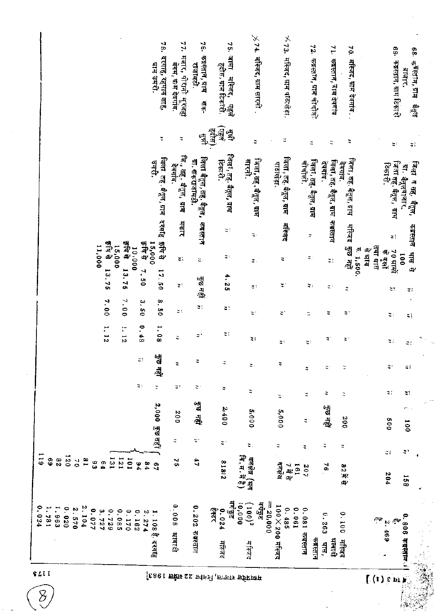|       |                      |       |                |       |          |                |                |       |                 |       |                                     | 78,<br>दरगाह, रहमान शाह,<br>पाम उमरी. | 77.<br>मजार, पीरानी मूरजहा<br>बगम, ग्राम देवगांव. | ă<br>कबस्तान, ग्राम<br>राजामठी.            | हदीस, ग्राम टिकारी.                              | χ<br>गमाह<br>मस्जिद,   |                                    | $\chi$ 74. महिजद, साम सारती . | $\times$ 73. मस्जिद, ग्राम पछिखेड़ा. |                 |                                   | 72,<br>कबस्तान, ग्राम चीचौकी    | 7Ţ.<br>कब्रस्तान, ग्राम देवगांव | $\frac{70}{3}$<br>मस्जिद, ग्राम देवगांव. . |           |                    |                                        | 69- कब्रस्तान, ग्राम टिकारी<br>बाजार.    | 68. कश्स्तान, याम   बतुल |
|-------|----------------------|-------|----------------|-------|----------|----------------|----------------|-------|-----------------|-------|-------------------------------------|---------------------------------------|---------------------------------------------------|--------------------------------------------|--------------------------------------------------|------------------------|------------------------------------|-------------------------------|--------------------------------------|-----------------|-----------------------------------|---------------------------------|---------------------------------|--------------------------------------------|-----------|--------------------|----------------------------------------|------------------------------------------|--------------------------|
|       |                      |       |                |       |          |                |                |       |                 |       |                                     | ă,                                    | Φ                                                 | 쐒<br>$\mathbf{E}$                          | $\left(\frac{1}{2} \frac{1}{2} \right)$<br>(412) | 赑<br>्यु               | ă                                  |                               | Ξ                                    |                 | ₩                                 |                                 | ă                               | ÷,                                         |           |                    |                                        | ă,                                       | $\zeta$                  |
|       |                      |       |                |       |          |                |                |       |                 |       |                                     | जिला तह वैतूल, ग्राम दरगाह<br>जनरी.   | लि., तह. बैतूल, ग्राम<br>देवगांव.                 | जिला बैतूल, सह. बैतूल,<br>ग्रा. खकराजामठी. | E <del>d</del> rich.                             | जिला, तह. बैतूल, ग्राम | जिला, सह . बैतूल , ग्राम<br>सारनी. |                               | जिला, तह, बैतूल, ग्राम<br>पठाबड़ा.   |                 | जिला, लह. बैतूल, ग्राम<br>चीचौली. | देवगांव.                        | जिला, तह. वैतूल, ग्राम          | जिला , तह. बंतूल , ग्राम<br>देवगाव.        |           |                    | टिकारी.                                | जिला तह. बैतूल, प्राप<br>या. बैतुलवाजार. | जिला व तह, बैतुल,        |
|       |                      |       |                |       | 11,000   |                | 医可分<br>15,000  |       | 导向升             | 00000 | हे वि से                            | 导电子<br>15,000                         | HETT<br>ă,                                        | 不可用下<br>ă,                                 |                                                  | ă,<br>$\sharp$         | $\mathbb{Q}$ .<br>ă,               |                               | मस्जिद<br>Ξ,                         |                 | φ<br>ε.                           |                                 | कबस्तान<br>z:                   | मस्जिद<br>कुछ नहीं                         | E. 1,500. | तया धास<br>में भाष | Ξ,<br>री हो के<br>जन्म                 | 70 श्रामे<br>$\overline{0}0$             | क्षस्तान<br>मास से       |
|       |                      |       |                |       |          | 7.00           | 13.75          | 7.00  | 13.75           | ب     | $\mathbf{r}$<br>9g<br>$\frac{5}{2}$ | 17.50<br>8.50                         | $\lesssim 1$<br>ă)                                | ਭੌਤ ਰਵ੍ਹੀ<br>Ξ,                            |                                                  | 4.25<br>Ξ)             | 41<br>Ę.                           |                               | ă,<br>ă,                             |                 | $\mathcal{C}$ :<br>π              |                                 | $\mathbf{C}^{\mathbf{1}}$<br>Ξ  | ÷<br>Ξ,                                    |           |                    | Ξ,                                     |                                          | $\mathcal{Z}$ )          |
|       |                      |       |                |       |          | 1, 12          |                | 1.12  |                 | 0.48  |                                     | 1.08                                  | э.                                                | ă,                                         |                                                  | $\Xi$ !                | $\mathbb{Z}$ )                     |                               | ς:                                   |                 | ς:                                |                                 | ă,                              | ă,                                         |           |                    | ă)<br>$\boldsymbol{z}$ :               |                                          | Ξļ<br>₹1                 |
|       |                      |       |                |       |          |                |                |       |                 | ч,    |                                     | हुक नहीं                              | ä                                                 | ă                                          | ž                                                |                        | $\sharp$ .                         |                               | Ξ                                    |                 | ÷                                 |                                 | 4                               | τ                                          |           |                    | ÷,                                     |                                          | ₹,                       |
|       |                      |       |                |       |          |                |                |       |                 | ξţ,   |                                     | ¥                                     | э,<br>200                                         | ς.<br>कुम सही                              | 4<br>2,400                                       |                        | ¥                                  |                               | ă,                                   |                 | ÷.                                |                                 | ÷<br>पुष पहीं                   | $\ddot{\cdot}$                             |           |                    | ς:                                     |                                          | 41                       |
|       |                      |       |                |       |          |                |                |       |                 |       |                                     | 2,000 雪田市                             | е                                                 | ς,                                         | ă,                                               |                        | 5,000<br>$\mathfrak{r}$ .          |                               | 5,000<br>φ                           |                 | ₹<br>е                            | е                               |                                 | 002<br>ă,                                  |           |                    | oo<br>S                                |                                          | $\overline{001}$         |
| 611   | 69<br>$\overline{8}$ | 021   | $\overline{2}$ | 58    | es<br>Co | $\mathbf{6}$ 4 | $\overline{1}$ | 121   | I <sub>01</sub> | 54    | 84                                  | $\frac{9}{4}$                         | 긙                                                 | 47                                         | 21818                                            |                        | क्तक्षेत्र (थन<br>वि.म.में है)     |                               | पर्यंत                               | 7 में से<br>Ie1 | 207                               |                                 | 76                              | 82并引                                       |           |                    | ÷,<br>204                              |                                          | 41<br><b>158</b>         |
| 0.024 | 1.781<br>1.963       | 0.020 | 2.570          | 2.104 | 0.077    | 3.727          | 0.729          | 0.085 | 0.170           | 0.162 | 2.274                               | 1. 108 है, दरगाह                      | 0.008<br>प्राबादी                                 | 0.202<br>केंब्रस्तान                       | ्री<br>पुरुष<br>0.024<br>मस्जिद                  | वत्तुमि<br>जन्म        | 000001<br>$(100)^2$<br>मस्त        | $\frac{28}{4}$<br>$= 20,000$  | 100×200 मस्जिद<br>0.485              | 190'0           | 0.081<br>कबस्तान                  | 0.263<br>कबस्तान<br>षा ।<br>पास | भावादी                          | 0.100<br>मस्जिद                            |           | $\sim$             | ż.<br>469<br>$\mathbb{P}_{\mathbf{a}}$ | 0.806 奇叫东西了                              |                          |

SZTT.

B

 $\left[ 6801$  ਸਿੰਸਲ 22 ਬਾਂਸਿਸੇ , ਸ਼ਾਇਸ ਸੁਸਿੰਸਥਾ

 $\int_0^1 (1) \epsilon$  in j